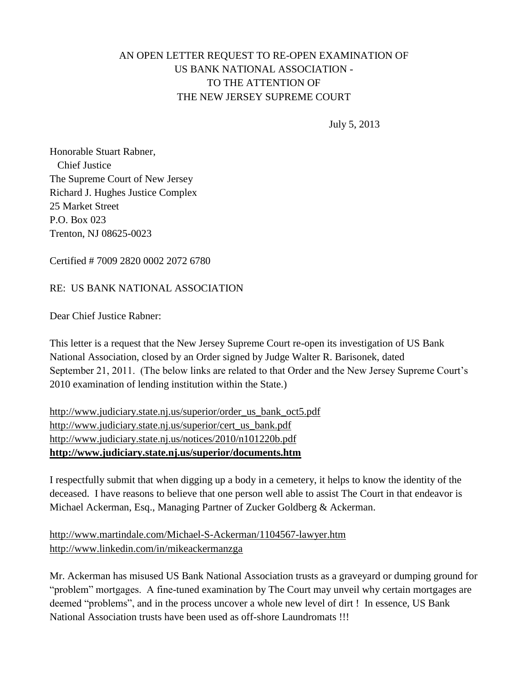## AN OPEN LETTER REQUEST TO RE-OPEN EXAMINATION OF US BANK NATIONAL ASSOCIATION - TO THE ATTENTION OF THE NEW JERSEY SUPREME COURT

July 5, 2013

Honorable Stuart Rabner, Chief Justice The Supreme Court of New Jersey Richard J. Hughes Justice Complex 25 Market Street P.O. Box 023 Trenton, NJ 08625-0023

Certified # 7009 2820 0002 2072 6780

## RE: US BANK NATIONAL ASSOCIATION

Dear Chief Justice Rabner:

This letter is a request that the New Jersey Supreme Court re-open its investigation of US Bank National Association, closed by an Order signed by Judge Walter R. Barisonek, dated September 21, 2011. (The below links are related to that Order and the New Jersey Supreme Court's 2010 examination of lending institution within the State.)

[http://www.judiciary.state.nj.us/superior/order\\_us\\_bank\\_oct5.pdf](http://www.judiciary.state.nj.us/superior/order_us_bank_oct5.pdf) [http://www.judiciary.state.nj.us/superior/cert\\_us\\_bank.pdf](http://www.judiciary.state.nj.us/superior/cert_us_bank.pdf) <http://www.judiciary.state.nj.us/notices/2010/n101220b.pdf> **<http://www.judiciary.state.nj.us/superior/documents.htm>**

I respectfully submit that when digging up a body in a cemetery, it helps to know the identity of the deceased. I have reasons to believe that one person well able to assist The Court in that endeavor is Michael Ackerman, Esq., Managing Partner of Zucker Goldberg & Ackerman.

<http://www.martindale.com/Michael-S-Ackerman/1104567-lawyer.htm> <http://www.linkedin.com/in/mikeackermanzga>

Mr. Ackerman has misused US Bank National Association trusts as a graveyard or dumping ground for "problem" mortgages. A fine-tuned examination by The Court may unveil why certain mortgages are deemed "problems", and in the process uncover a whole new level of dirt ! In essence, US Bank National Association trusts have been used as off-shore Laundromats !!!